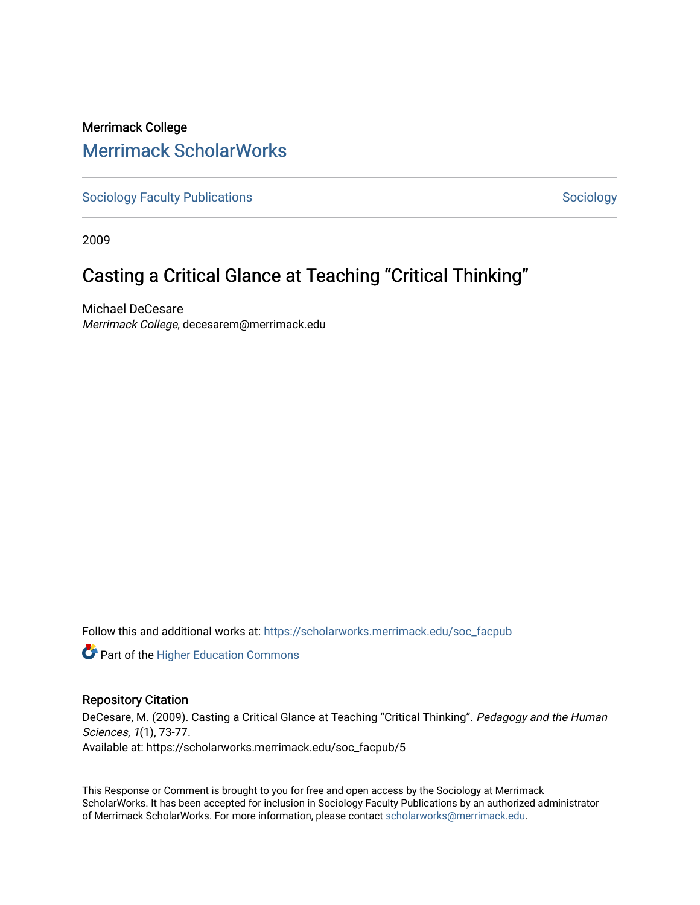# Merrimack College [Merrimack ScholarWorks](https://scholarworks.merrimack.edu/)

[Sociology Faculty Publications](https://scholarworks.merrimack.edu/soc_facpub) and [Sociology](https://scholarworks.merrimack.edu/soc) Sociology Sociology

2009

# Casting a Critical Glance at Teaching "Critical Thinking"

Michael DeCesare Merrimack College, decesarem@merrimack.edu

Follow this and additional works at: [https://scholarworks.merrimack.edu/soc\\_facpub](https://scholarworks.merrimack.edu/soc_facpub?utm_source=scholarworks.merrimack.edu%2Fsoc_facpub%2F5&utm_medium=PDF&utm_campaign=PDFCoverPages) 

**Part of the Higher Education Commons** 

#### Repository Citation

DeCesare, M. (2009). Casting a Critical Glance at Teaching "Critical Thinking". Pedagogy and the Human Sciences, 1(1), 73-77. Available at: https://scholarworks.merrimack.edu/soc\_facpub/5

This Response or Comment is brought to you for free and open access by the Sociology at Merrimack ScholarWorks. It has been accepted for inclusion in Sociology Faculty Publications by an authorized administrator of Merrimack ScholarWorks. For more information, please contact [scholarworks@merrimack.edu.](mailto:scholarworks@merrimack.edu)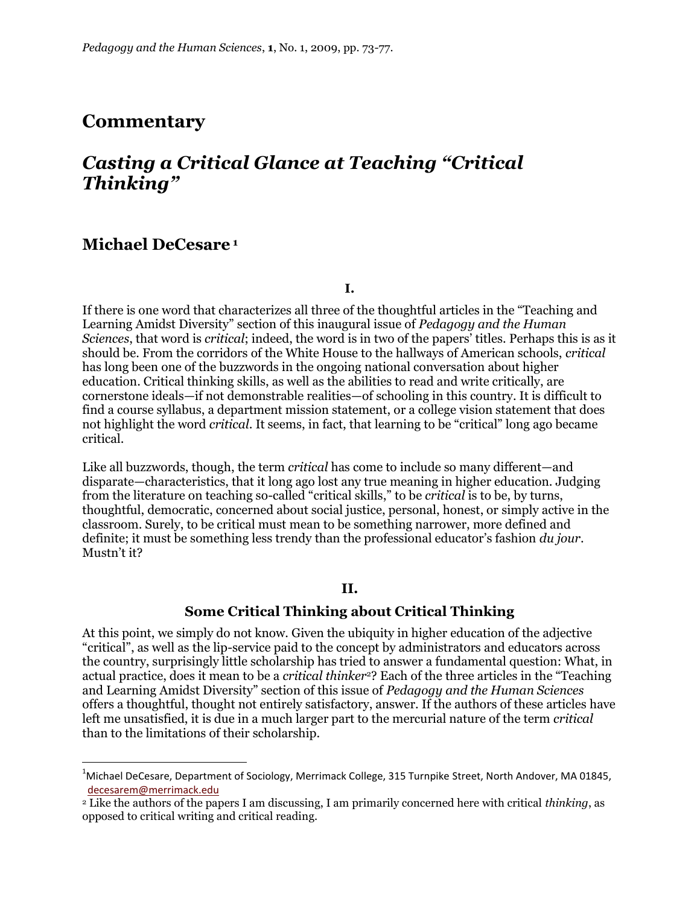## **Commentary**

# *Casting a Critical Glance at Teaching "Critical Thinking"*

### **Michael DeCesare <sup>1</sup>**

 $\overline{a}$ 

**I.**

If there is one word that characterizes all three of the thoughtful articles in the "Teaching and Learning Amidst Diversity" section of this inaugural issue of *Pedagogy and the Human Sciences*, that word is *critical*; indeed, the word is in two of the papers' titles. Perhaps this is as it should be. From the corridors of the White House to the hallways of American schools, *critical* has long been one of the buzzwords in the ongoing national conversation about higher education. Critical thinking skills, as well as the abilities to read and write critically, are cornerstone ideals—if not demonstrable realities—of schooling in this country. It is difficult to find a course syllabus, a department mission statement, or a college vision statement that does not highlight the word *critical*. It seems, in fact, that learning to be "critical" long ago became critical.

Like all buzzwords, though, the term *critical* has come to include so many different—and disparate—characteristics, that it long ago lost any true meaning in higher education. Judging from the literature on teaching so-called "critical skills," to be *critical* is to be, by turns, thoughtful, democratic, concerned about social justice, personal, honest, or simply active in the classroom. Surely, to be critical must mean to be something narrower, more defined and definite; it must be something less trendy than the professional educator"s fashion *du jour*. Mustn't it?

#### **II.**

#### **Some Critical Thinking about Critical Thinking**

At this point, we simply do not know. Given the ubiquity in higher education of the adjective "critical", as well as the lip-service paid to the concept by administrators and educators across the country, surprisingly little scholarship has tried to answer a fundamental question: What, in actual practice, does it mean to be a *critical thinker*2? Each of the three articles in the "Teaching and Learning Amidst Diversity" section of this issue of *Pedagogy and the Human Sciences* offers a thoughtful, thought not entirely satisfactory, answer. If the authors of these articles have left me unsatisfied, it is due in a much larger part to the mercurial nature of the term *critical* than to the limitations of their scholarship.

 $1$ Michael DeCesare, Department of Sociology, Merrimack College, 315 Turnpike Street, North Andover, MA 01845, [decesarem@merrimack.edu](mailto:decesarem@merrimack.edu)

<sup>2</sup> Like the authors of the papers I am discussing, I am primarily concerned here with critical *thinking*, as opposed to critical writing and critical reading.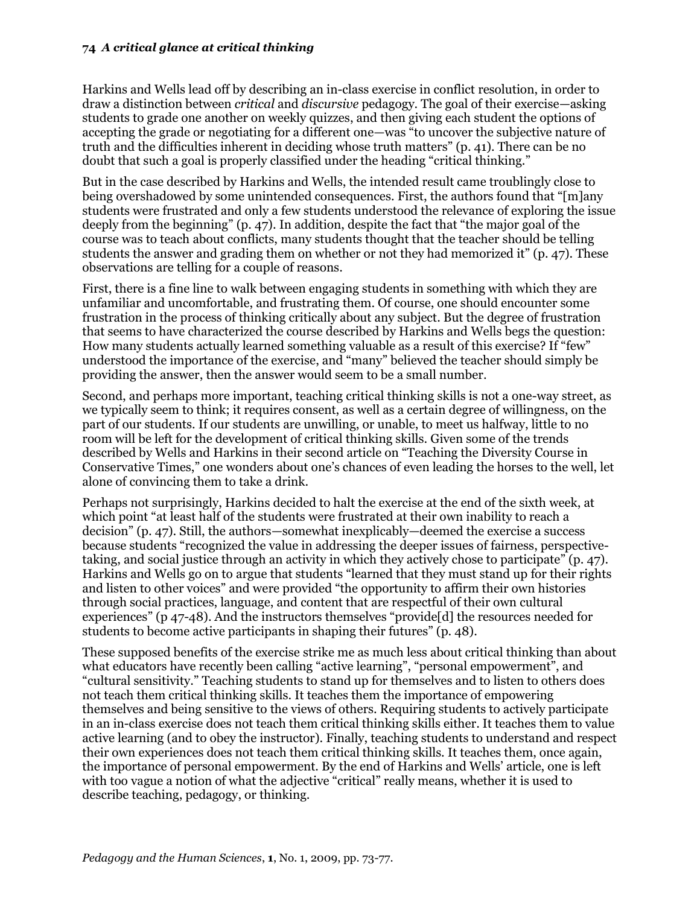#### **74** *A critical glance at critical thinking*

Harkins and Wells lead off by describing an in-class exercise in conflict resolution, in order to draw a distinction between *critical* and *discursive* pedagogy. The goal of their exercise—asking students to grade one another on weekly quizzes, and then giving each student the options of accepting the grade or negotiating for a different one—was "to uncover the subjective nature of truth and the difficulties inherent in deciding whose truth matters" (p. 41). There can be no doubt that such a goal is properly classified under the heading "critical thinking."

But in the case described by Harkins and Wells, the intended result came troublingly close to being overshadowed by some unintended consequences. First, the authors found that "[m]any students were frustrated and only a few students understood the relevance of exploring the issue deeply from the beginning" (p. 47). In addition, despite the fact that "the major goal of the course was to teach about conflicts, many students thought that the teacher should be telling students the answer and grading them on whether or not they had memorized it" (p. 47). These observations are telling for a couple of reasons.

First, there is a fine line to walk between engaging students in something with which they are unfamiliar and uncomfortable, and frustrating them. Of course, one should encounter some frustration in the process of thinking critically about any subject. But the degree of frustration that seems to have characterized the course described by Harkins and Wells begs the question: How many students actually learned something valuable as a result of this exercise? If "few" understood the importance of the exercise, and "many" believed the teacher should simply be providing the answer, then the answer would seem to be a small number.

Second, and perhaps more important, teaching critical thinking skills is not a one-way street, as we typically seem to think; it requires consent, as well as a certain degree of willingness, on the part of our students. If our students are unwilling, or unable, to meet us halfway, little to no room will be left for the development of critical thinking skills. Given some of the trends described by Wells and Harkins in their second article on "Teaching the Diversity Course in Conservative Times," one wonders about one"s chances of even leading the horses to the well, let alone of convincing them to take a drink.

Perhaps not surprisingly, Harkins decided to halt the exercise at the end of the sixth week, at which point "at least half of the students were frustrated at their own inability to reach a decision" (p. 47). Still, the authors—somewhat inexplicably—deemed the exercise a success because students "recognized the value in addressing the deeper issues of fairness, perspectivetaking, and social justice through an activity in which they actively chose to participate" (p. 47). Harkins and Wells go on to argue that students "learned that they must stand up for their rights and listen to other voices" and were provided "the opportunity to affirm their own histories through social practices, language, and content that are respectful of their own cultural experiences" (p 47-48). And the instructors themselves "provide[d] the resources needed for students to become active participants in shaping their futures" (p. 48).

These supposed benefits of the exercise strike me as much less about critical thinking than about what educators have recently been calling "active learning", "personal empowerment", and "cultural sensitivity." Teaching students to stand up for themselves and to listen to others does not teach them critical thinking skills. It teaches them the importance of empowering themselves and being sensitive to the views of others. Requiring students to actively participate in an in-class exercise does not teach them critical thinking skills either. It teaches them to value active learning (and to obey the instructor). Finally, teaching students to understand and respect their own experiences does not teach them critical thinking skills. It teaches them, once again, the importance of personal empowerment. By the end of Harkins and Wells" article, one is left with too vague a notion of what the adjective "critical" really means, whether it is used to describe teaching, pedagogy, or thinking.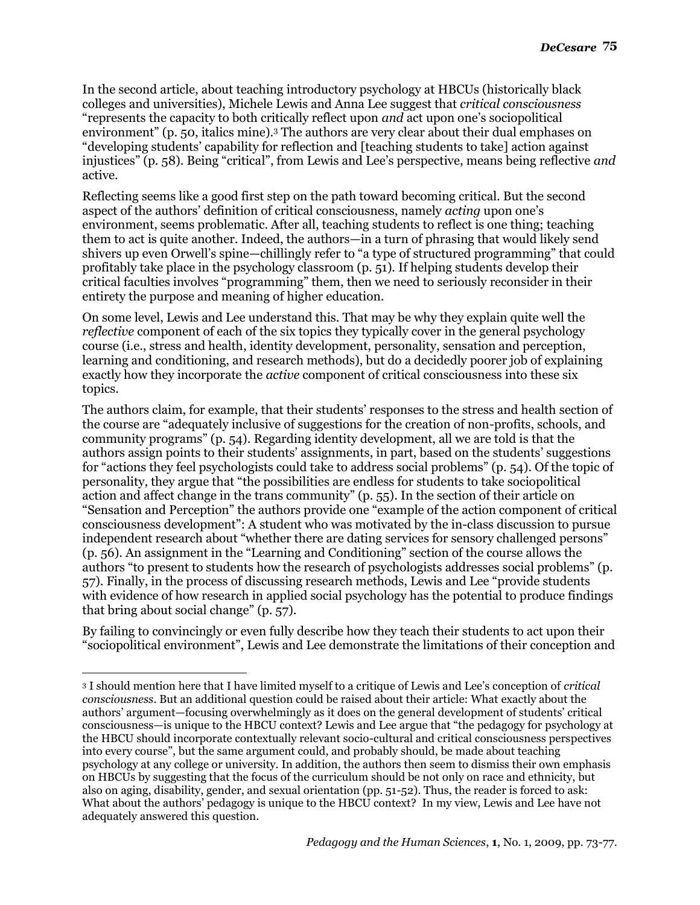In the second article, about teaching introductory psychology at HBCUs (historically black colleges and universities), Michele Lewis and Anna Lee suggest that *critical consciousness* "represents the capacity to both critically reflect upon *and* act upon one"s sociopolitical environment" (p. 50, italics mine).<sup>3</sup> The authors are very clear about their dual emphases on "developing students" capability for reflection and [teaching students to take] action against injustices" (p. 58). Being "critical", from Lewis and Lee"s perspective, means being reflective *and* active.

Reflecting seems like a good first step on the path toward becoming critical. But the second aspect of the authors" definition of critical consciousness, namely *acting* upon one"s environment, seems problematic. After all, teaching students to reflect is one thing; teaching them to act is quite another. Indeed, the authors—in a turn of phrasing that would likely send shivers up even Orwell"s spine—chillingly refer to "a type of structured programming" that could profitably take place in the psychology classroom (p. 51). If helping students develop their critical faculties involves "programming" them, then we need to seriously reconsider in their entirety the purpose and meaning of higher education.

On some level, Lewis and Lee understand this. That may be why they explain quite well the *reflective* component of each of the six topics they typically cover in the general psychology course (i.e., stress and health, identity development, personality, sensation and perception, learning and conditioning, and research methods), but do a decidedly poorer job of explaining exactly how they incorporate the *active* component of critical consciousness into these six topics.

The authors claim, for example, that their students' responses to the stress and health section of the course are "adequately inclusive of suggestions for the creation of non-profits, schools, and community programs" (p. 54). Regarding identity development, all we are told is that the authors assign points to their students' assignments, in part, based on the students' suggestions for "actions they feel psychologists could take to address social problems" (p. 54). Of the topic of personality, they argue that "the possibilities are endless for students to take sociopolitical action and affect change in the trans community" (p. 55). In the section of their article on "Sensation and Perception" the authors provide one "example of the action component of critical consciousness development": A student who was motivated by the in-class discussion to pursue independent research about "whether there are dating services for sensory challenged persons" (p. 56). An assignment in the "Learning and Conditioning" section of the course allows the authors "to present to students how the research of psychologists addresses social problems" (p. 57). Finally, in the process of discussing research methods, Lewis and Lee "provide students with evidence of how research in applied social psychology has the potential to produce findings that bring about social change" (p. 57).

By failing to convincingly or even fully describe how they teach their students to act upon their "sociopolitical environment", Lewis and Lee demonstrate the limitations of their conception and

 $\overline{a}$ 

<sup>3</sup> I should mention here that I have limited myself to a critique of Lewis and Lee"s conception of *critical consciousness*. But an additional question could be raised about their article: What exactly about the authors" argument—focusing overwhelmingly as it does on the general development of students" critical consciousness—is unique to the HBCU context? Lewis and Lee argue that "the pedagogy for psychology at the HBCU should incorporate contextually relevant socio-cultural and critical consciousness perspectives into every course", but the same argument could, and probably should, be made about teaching psychology at any college or university. In addition, the authors then seem to dismiss their own emphasis on HBCUs by suggesting that the focus of the curriculum should be not only on race and ethnicity, but also on aging, disability, gender, and sexual orientation (pp. 51-52). Thus, the reader is forced to ask: What about the authors" pedagogy is unique to the HBCU context? In my view, Lewis and Lee have not adequately answered this question.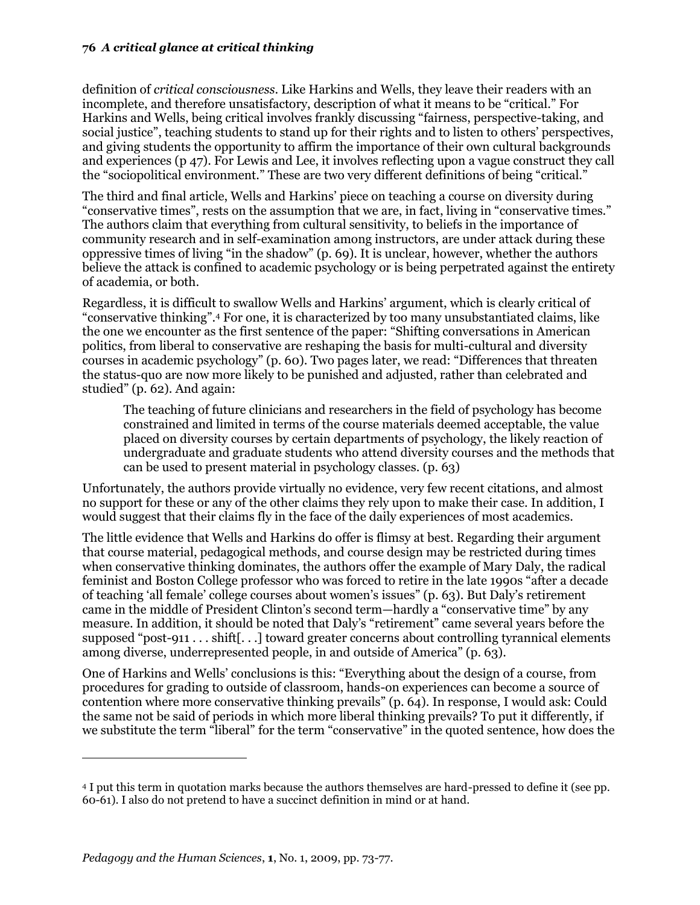#### **76** *A critical glance at critical thinking*

definition of *critical consciousness*. Like Harkins and Wells, they leave their readers with an incomplete, and therefore unsatisfactory, description of what it means to be "critical." For Harkins and Wells, being critical involves frankly discussing "fairness, perspective-taking, and social justice", teaching students to stand up for their rights and to listen to others' perspectives, and giving students the opportunity to affirm the importance of their own cultural backgrounds and experiences (p 47). For Lewis and Lee, it involves reflecting upon a vague construct they call the "sociopolitical environment." These are two very different definitions of being "critical."

The third and final article, Wells and Harkins" piece on teaching a course on diversity during "conservative times", rests on the assumption that we are, in fact, living in "conservative times." The authors claim that everything from cultural sensitivity, to beliefs in the importance of community research and in self-examination among instructors, are under attack during these oppressive times of living "in the shadow" (p. 69). It is unclear, however, whether the authors believe the attack is confined to academic psychology or is being perpetrated against the entirety of academia, or both.

Regardless, it is difficult to swallow Wells and Harkins" argument, which is clearly critical of "conservative thinking".<sup>4</sup> For one, it is characterized by too many unsubstantiated claims, like the one we encounter as the first sentence of the paper: "Shifting conversations in American politics, from liberal to conservative are reshaping the basis for multi-cultural and diversity courses in academic psychology" (p. 60). Two pages later, we read: "Differences that threaten the status-quo are now more likely to be punished and adjusted, rather than celebrated and studied" (p. 62). And again:

The teaching of future clinicians and researchers in the field of psychology has become constrained and limited in terms of the course materials deemed acceptable, the value placed on diversity courses by certain departments of psychology, the likely reaction of undergraduate and graduate students who attend diversity courses and the methods that can be used to present material in psychology classes. (p. 63)

Unfortunately, the authors provide virtually no evidence, very few recent citations, and almost no support for these or any of the other claims they rely upon to make their case. In addition, I would suggest that their claims fly in the face of the daily experiences of most academics.

The little evidence that Wells and Harkins do offer is flimsy at best. Regarding their argument that course material, pedagogical methods, and course design may be restricted during times when conservative thinking dominates, the authors offer the example of Mary Daly, the radical feminist and Boston College professor who was forced to retire in the late 1990s "after a decade of teaching "all female" college courses about women"s issues" (p. 63). But Daly"s retirement came in the middle of President Clinton's second term—hardly a "conservative time" by any measure. In addition, it should be noted that Daly"s "retirement" came several years before the supposed "post-911 . . . shift[. . .] toward greater concerns about controlling tyrannical elements among diverse, underrepresented people, in and outside of America" (p. 63).

One of Harkins and Wells" conclusions is this: "Everything about the design of a course, from procedures for grading to outside of classroom, hands-on experiences can become a source of contention where more conservative thinking prevails" (p. 64). In response, I would ask: Could the same not be said of periods in which more liberal thinking prevails? To put it differently, if we substitute the term "liberal" for the term "conservative" in the quoted sentence, how does the

 $\overline{a}$ 

<sup>4</sup> I put this term in quotation marks because the authors themselves are hard-pressed to define it (see pp. 60-61). I also do not pretend to have a succinct definition in mind or at hand.